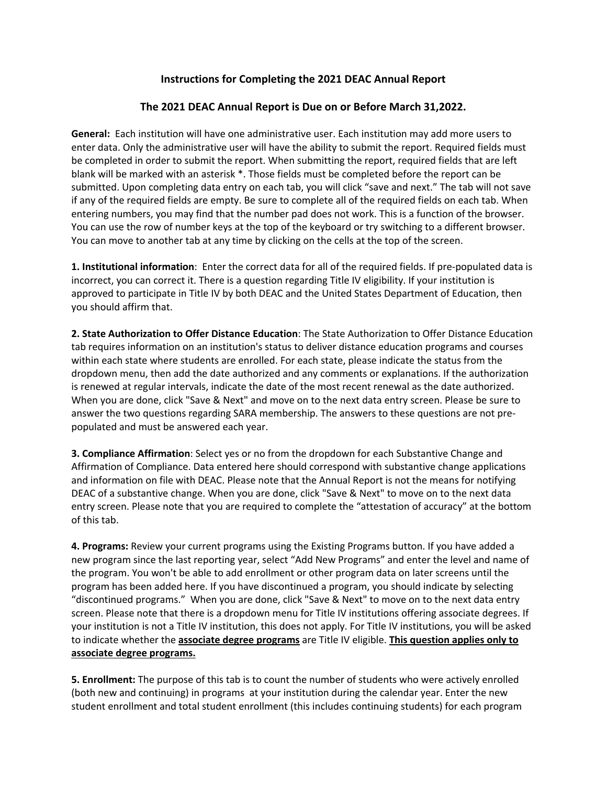# **Instructions for Completing the 2021 DEAC Annual Report**

## **The 2021 DEAC Annual Report is Due on or Before March 31,2022.**

**General:** Each institution will have one administrative user. Each institution may add more users to enter data. Only the administrative user will have the ability to submit the report. Required fields must be completed in order to submit the report. When submitting the report, required fields that are left blank will be marked with an asterisk \*. Those fields must be completed before the report can be submitted. Upon completing data entry on each tab, you will click "save and next." The tab will not save if any of the required fields are empty. Be sure to complete all of the required fields on each tab. When entering numbers, you may find that the number pad does not work. This is a function of the browser. You can use the row of number keys at the top of the keyboard or try switching to a different browser. You can move to another tab at any time by clicking on the cells at the top of the screen.

**1. Institutional information**: Enter the correct data for all of the required fields. If pre-populated data is incorrect, you can correct it. There is a question regarding Title IV eligibility. If your institution is approved to participate in Title IV by both DEAC and the United States Department of Education, then you should affirm that.

**2. State Authorization to Offer Distance Education**: The State Authorization to Offer Distance Education tab requires information on an institution's status to deliver distance education programs and courses within each state where students are enrolled. For each state, please indicate the status from the dropdown menu, then add the date authorized and any comments or explanations. If the authorization is renewed at regular intervals, indicate the date of the most recent renewal as the date authorized. When you are done, click "Save & Next" and move on to the next data entry screen. Please be sure to answer the two questions regarding SARA membership. The answers to these questions are not prepopulated and must be answered each year.

**3. Compliance Affirmation**: Select yes or no from the dropdown for each Substantive Change and Affirmation of Compliance. Data entered here should correspond with substantive change applications and information on file with DEAC. Please note that the Annual Report is not the means for notifying DEAC of a substantive change. When you are done, click "Save & Next" to move on to the next data entry screen. Please note that you are required to complete the "attestation of accuracy" at the bottom of this tab.

**4. Programs:** Review your current programs using the Existing Programs button. If you have added a new program since the last reporting year, select "Add New Programs" and enter the level and name of the program. You won't be able to add enrollment or other program data on later screens until the program has been added here. If you have discontinued a program, you should indicate by selecting "discontinued programs." When you are done, click "Save & Next" to move on to the next data entry screen. Please note that there is a dropdown menu for Title IV institutions offering associate degrees. If your institution is not a Title IV institution, this does not apply. For Title IV institutions, you will be asked to indicate whether the **associate degree programs** are Title IV eligible. **This question applies only to associate degree programs.**

**5. Enrollment:** The purpose of this tab is to count the number of students who were actively enrolled (both new and continuing) in programs at your institution during the calendar year. Enter the new student enrollment and total student enrollment (this includes continuing students) for each program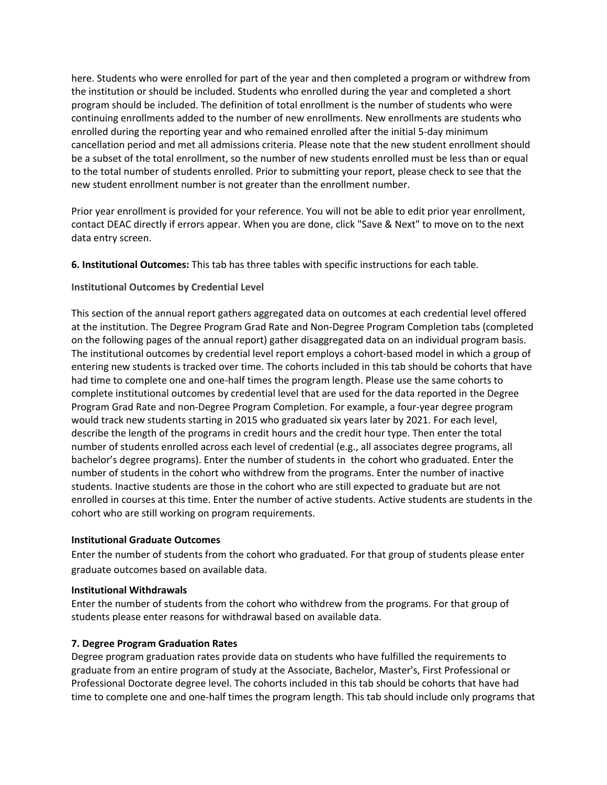here. Students who were enrolled for part of the year and then completed a program or withdrew from the institution or should be included. Students who enrolled during the year and completed a short program should be included. The definition of total enrollment is the number of students who were continuing enrollments added to the number of new enrollments. New enrollments are students who enrolled during the reporting year and who remained enrolled after the initial 5-day minimum cancellation period and met all admissions criteria. Please note that the new student enrollment should be a subset of the total enrollment, so the number of new students enrolled must be less than or equal to the total number of students enrolled. Prior to submitting your report, please check to see that the new student enrollment number is not greater than the enrollment number.

Prior year enrollment is provided for your reference. You will not be able to edit prior year enrollment, contact DEAC directly if errors appear. When you are done, click "Save & Next" to move on to the next data entry screen.

**6. Institutional Outcomes:** This tab has three tables with specific instructions for each table.

### **Institutional Outcomes by Credential Level**

This section of the annual report gathers aggregated data on outcomes at each credential level offered at the institution. The Degree Program Grad Rate and Non-Degree Program Completion tabs (completed on the following pages of the annual report) gather disaggregated data on an individual program basis. The institutional outcomes by credential level report employs a cohort-based model in which a group of entering new students is tracked over time. The cohorts included in this tab should be cohorts that have had time to complete one and one-half times the program length. Please use the same cohorts to complete institutional outcomes by credential level that are used for the data reported in the Degree Program Grad Rate and non-Degree Program Completion. For example, a four-year degree program would track new students starting in 2015 who graduated six years later by 2021. For each level, describe the length of the programs in credit hours and the credit hour type. Then enter the total number of students enrolled across each level of credential (e.g., all associates degree programs, all bachelor's degree programs). Enter the number of students in the cohort who graduated. Enter the number of students in the cohort who withdrew from the programs. Enter the number of inactive students. Inactive students are those in the cohort who are still expected to graduate but are not enrolled in courses at this time. Enter the number of active students. Active students are students in the cohort who are still working on program requirements.

#### **Institutional Graduate Outcomes**

Enter the number of students from the cohort who graduated. For that group of students please enter graduate outcomes based on available data.

#### **Institutional Withdrawals**

Enter the number of students from the cohort who withdrew from the programs. For that group of students please enter reasons for withdrawal based on available data.

### **7. Degree Program Graduation Rates**

Degree program graduation rates provide data on students who have fulfilled the requirements to graduate from an entire program of study at the Associate, Bachelor, Master's, First Professional or Professional Doctorate degree level. The cohorts included in this tab should be cohorts that have had time to complete one and one-half times the program length. This tab should include only programs that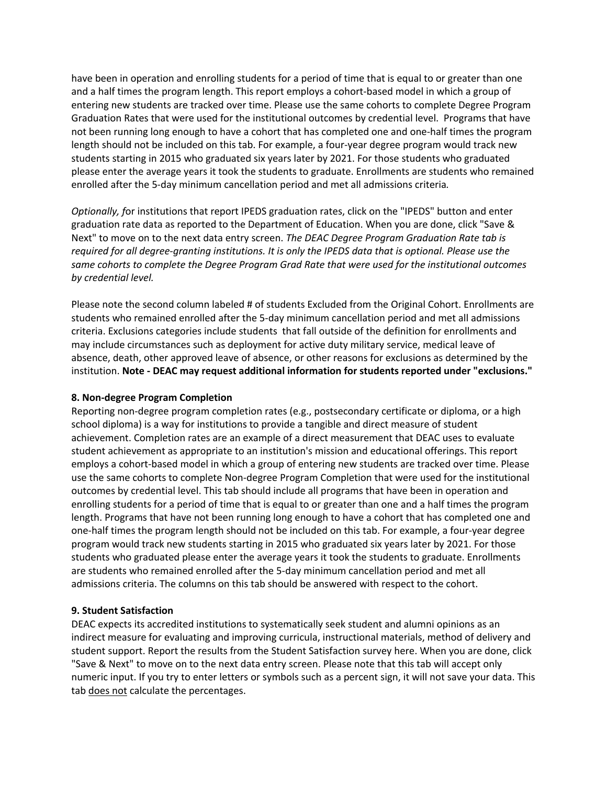have been in operation and enrolling students for a period of time that is equal to or greater than one and a half times the program length. This report employs a cohort-based model in which a group of entering new students are tracked over time. Please use the same cohorts to complete Degree Program Graduation Rates that were used for the institutional outcomes by credential level. Programs that have not been running long enough to have a cohort that has completed one and one-half times the program length should not be included on this tab. For example, a four-year degree program would track new students starting in 2015 who graduated six years later by 2021. For those students who graduated please enter the average years it took the students to graduate. Enrollments are students who remained enrolled after the 5-day minimum cancellation period and met all admissions criteria*.* 

*Optionally, f*or institutions that report IPEDS graduation rates, click on the "IPEDS" button and enter graduation rate data as reported to the Department of Education. When you are done, click "Save & Next" to move on to the next data entry screen. *The DEAC Degree Program Graduation Rate tab is required for all degree-granting institutions. It is only the IPEDS data that is optional. Please use the same cohorts to complete the Degree Program Grad Rate that were used for the institutional outcomes by credential level.*

Please note the second column labeled # of students Excluded from the Original Cohort. Enrollments are students who remained enrolled after the 5-day minimum cancellation period and met all admissions criteria. Exclusions categories include students that fall outside of the definition for enrollments and may include circumstances such as deployment for active duty military service, medical leave of absence, death, other approved leave of absence, or other reasons for exclusions as determined by the institution. **Note - DEAC may request additional information for students reported under "exclusions."**

### **8. Non-degree Program Completion**

Reporting non-degree program completion rates (e.g., postsecondary certificate or diploma, or a high school diploma) is a way for institutions to provide a tangible and direct measure of student achievement. Completion rates are an example of a direct measurement that DEAC uses to evaluate student achievement as appropriate to an institution's mission and educational offerings. This report employs a cohort-based model in which a group of entering new students are tracked over time. Please use the same cohorts to complete Non-degree Program Completion that were used for the institutional outcomes by credential level. This tab should include all programs that have been in operation and enrolling students for a period of time that is equal to or greater than one and a half times the program length. Programs that have not been running long enough to have a cohort that has completed one and one-half times the program length should not be included on this tab. For example, a four-year degree program would track new students starting in 2015 who graduated six years later by 2021. For those students who graduated please enter the average years it took the students to graduate. Enrollments are students who remained enrolled after the 5-day minimum cancellation period and met all admissions criteria. The columns on this tab should be answered with respect to the cohort.

### **9. Student Satisfaction**

DEAC expects its accredited institutions to systematically seek student and alumni opinions as an indirect measure for evaluating and improving curricula, instructional materials, method of delivery and student support. Report the results from the Student Satisfaction survey here. When you are done, click "Save & Next" to move on to the next data entry screen. Please note that this tab will accept only numeric input. If you try to enter letters or symbols such as a percent sign, it will not save your data. This tab does not calculate the percentages.